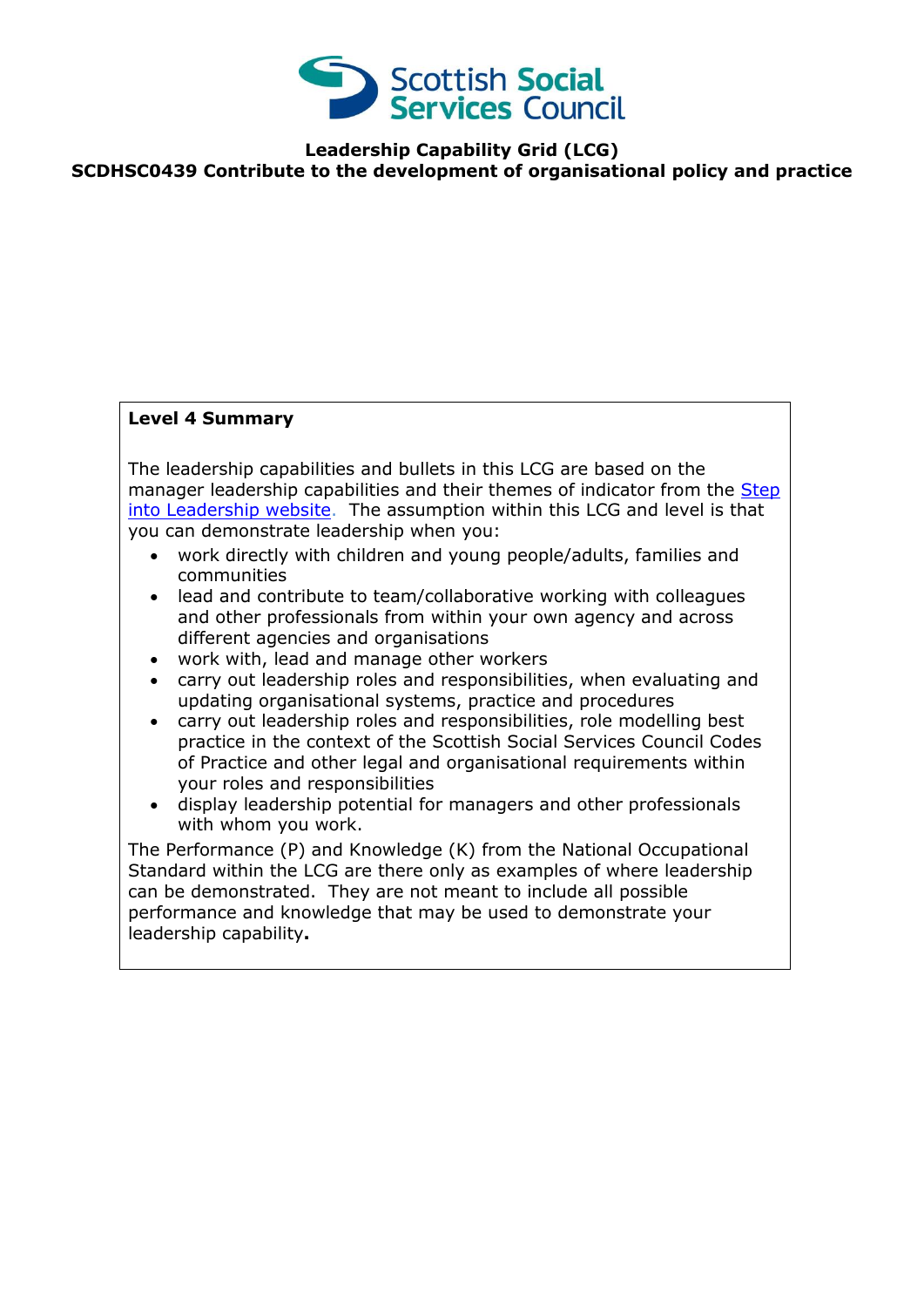

**Leadership Capability Grid (LCG)**

**SCDHSC0439 Contribute to the development of organisational policy and practice**

## **Level 4 Summary**

The leadership capabilities and bullets in this LCG are based on the manager leadership capabilities and their themes of indicator from the Step [into Leadership website.](http://www.stepintoleadership.info/index.html) The assumption within this LCG and level is that you can demonstrate leadership when you:

- work directly with children and young people/adults, families and communities
- lead and contribute to team/collaborative working with colleagues and other professionals from within your own agency and across different agencies and organisations
- work with, lead and manage other workers
- carry out leadership roles and responsibilities, when evaluating and updating organisational systems, practice and procedures
- carry out leadership roles and responsibilities, role modelling best practice in the context of the Scottish Social Services Council Codes of Practice and other legal and organisational requirements within your roles and responsibilities
- display leadership potential for managers and other professionals with whom you work.

The Performance (P) and Knowledge (K) from the National Occupational Standard within the LCG are there only as examples of where leadership can be demonstrated. They are not meant to include all possible performance and knowledge that may be used to demonstrate your leadership capability**.**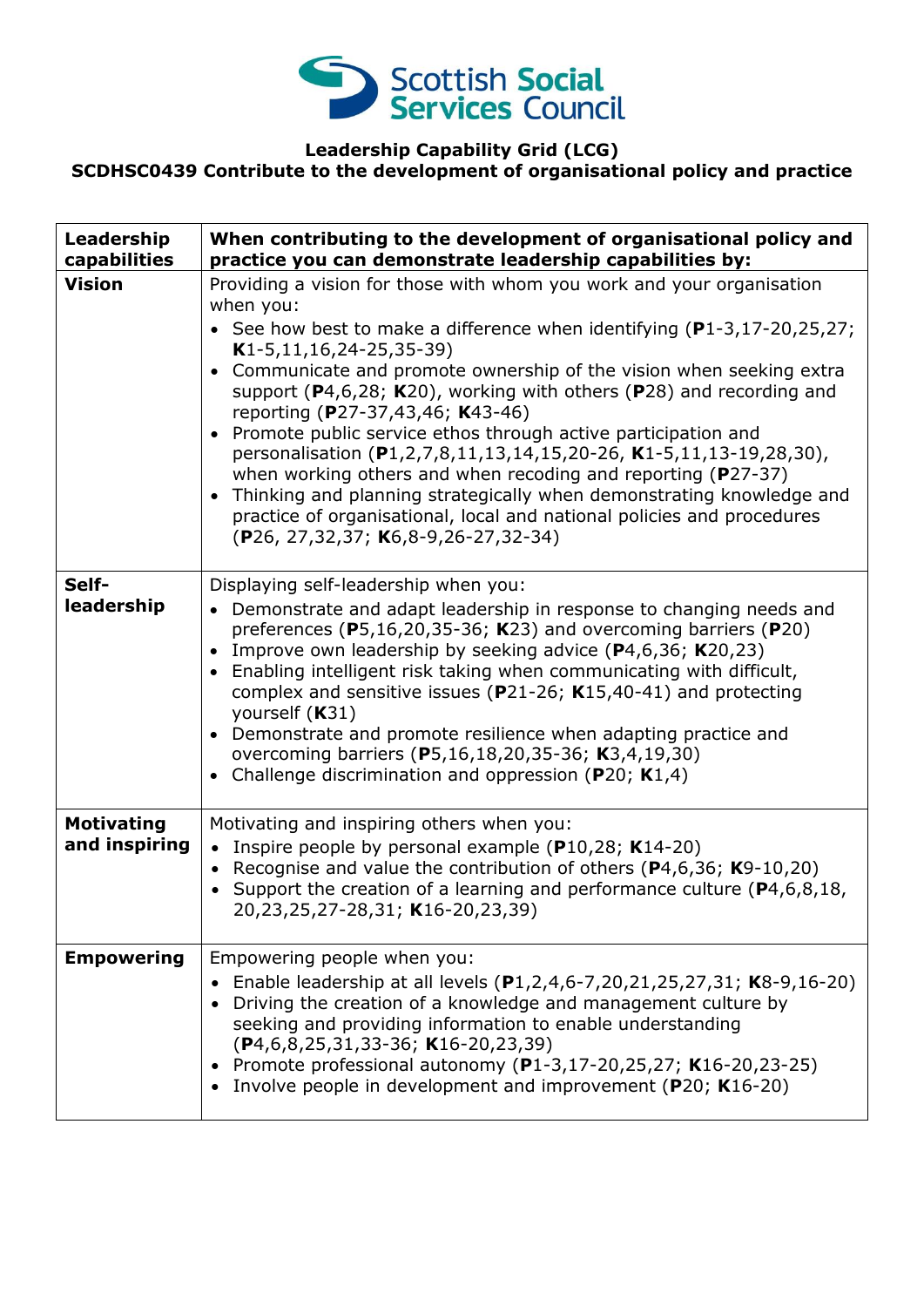

## **Leadership Capability Grid (LCG) SCDHSC0439 Contribute to the development of organisational policy and practice**

| Leadership<br>capabilities         | When contributing to the development of organisational policy and<br>practice you can demonstrate leadership capabilities by:                                                                                                                                                                                                                                                                                                                                                                                                                                                                                                                                                                                                                                                                                                     |
|------------------------------------|-----------------------------------------------------------------------------------------------------------------------------------------------------------------------------------------------------------------------------------------------------------------------------------------------------------------------------------------------------------------------------------------------------------------------------------------------------------------------------------------------------------------------------------------------------------------------------------------------------------------------------------------------------------------------------------------------------------------------------------------------------------------------------------------------------------------------------------|
| <b>Vision</b>                      | Providing a vision for those with whom you work and your organisation<br>when you:<br>• See how best to make a difference when identifying $(P1-3, 17-20, 25, 27)$ ;<br>$K1-5, 11, 16, 24-25, 35-39)$<br>Communicate and promote ownership of the vision when seeking extra<br>$\bullet$<br>support ( $P$ 4,6,28; K20), working with others ( $P$ 28) and recording and<br>reporting (P27-37,43,46; K43-46)<br>Promote public service ethos through active participation and<br>personalisation (P1,2,7,8,11,13,14,15,20-26, K1-5,11,13-19,28,30),<br>when working others and when recoding and reporting ( $P27-37$ )<br>Thinking and planning strategically when demonstrating knowledge and<br>$\bullet$<br>practice of organisational, local and national policies and procedures<br>(P26, 27, 32, 37; K6, 8-9, 26-27, 32-34) |
| Self-<br>leadership                | Displaying self-leadership when you:<br>• Demonstrate and adapt leadership in response to changing needs and<br>preferences ( $P5,16,20,35-36$ ; K23) and overcoming barriers ( $P20$ )<br>Improve own leadership by seeking advice $(P4,6,36; K20,23)$<br>$\bullet$<br>Enabling intelligent risk taking when communicating with difficult,<br>$\bullet$<br>complex and sensitive issues ( $P$ 21-26; K15,40-41) and protecting<br>yourself (K31)<br>Demonstrate and promote resilience when adapting practice and<br>$\bullet$<br>overcoming barriers (P5,16,18,20,35-36; K3,4,19,30)<br>Challenge discrimination and oppression ( $P20$ ; K1,4)<br>$\bullet$                                                                                                                                                                    |
| <b>Motivating</b><br>and inspiring | Motivating and inspiring others when you:<br>Inspire people by personal example (P10,28; K14-20)<br>$\bullet$<br>Recognise and value the contribution of others ( $P$ 4,6,36; K9-10,20)<br>$\bullet$<br>• Support the creation of a learning and performance culture ( $P4, 6, 8, 18$ ,<br>20,23,25,27-28,31; K16-20,23,39)                                                                                                                                                                                                                                                                                                                                                                                                                                                                                                       |
| <b>Empowering</b>                  | Empowering people when you:<br>Enable leadership at all levels (P1,2,4,6-7,20,21,25,27,31; K8-9,16-20)<br>Driving the creation of a knowledge and management culture by<br>seeking and providing information to enable understanding<br>$(P4, 6, 8, 25, 31, 33 - 36; K16 - 20, 23, 39)$<br>Promote professional autonomy (P1-3,17-20,25,27; K16-20,23-25)<br>٠<br>Involve people in development and improvement (P20; K16-20)                                                                                                                                                                                                                                                                                                                                                                                                     |